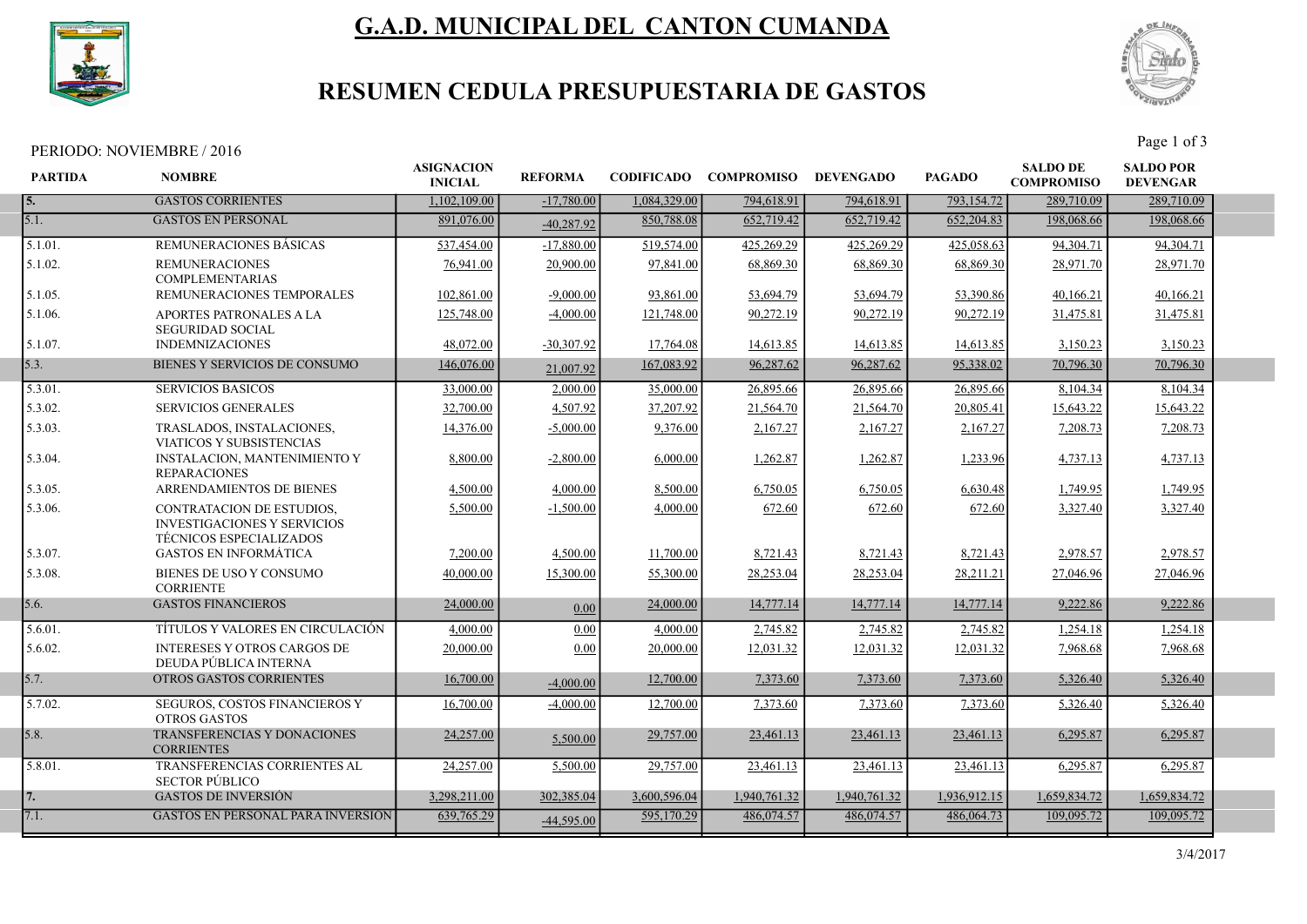

# G.A.D. MUNICIPAL DEL CANTON CUMANDA



## RESUMEN CEDULA PRESUPUESTARIA DE GASTOS

| PERIODO: NOVIEMBRE / 2016 | $v_{\text{age}}$ .<br>د ot ' |
|---------------------------|------------------------------|
|---------------------------|------------------------------|

| <b>PARTIDA</b> | <b>NOMBRE</b>                                                                                     | <b>ASIGNACION</b><br><b>INICIAL</b> | <b>REFORMA</b> | <b>CODIFICADO</b> | <b>COMPROMISO</b> | <b>DEVENGADO</b> | <b>PAGADO</b> | <b>SALDO DE</b><br><b>COMPROMISO</b> | <b>SALDO POR</b><br><b>DEVENGAR</b> |  |
|----------------|---------------------------------------------------------------------------------------------------|-------------------------------------|----------------|-------------------|-------------------|------------------|---------------|--------------------------------------|-------------------------------------|--|
| I 5.           | <b>GASTOS CORRIENTES</b>                                                                          | 1.102.109.00                        | $-17,780,00$   | 1,084,329.00      | 794,618.91        | 794,618.91       | 793,154.72    | 289,710.09                           | 289,710.09                          |  |
| 5.1.           | <b>GASTOS EN PERSONAL</b>                                                                         | 891,076.00                          | $-40.287.92$   | 850,788.08        | 652,719.42        | 652,719.42       | 652, 204.83   | 198,068.66                           | 198,068.66                          |  |
| 5.1.01.        | <b>REMUNERACIONES BASICAS</b>                                                                     | 537,454.00                          | $-17,880.00$   | 519,574.00        | 425,269.29        | 425,269.29       | 425,058.63    | 94, 304. 71                          | 94, 304. 71                         |  |
| 5.1.02.        | <b>REMUNERACIONES</b><br><b>COMPLEMENTARIAS</b>                                                   | 76,941.00                           | 20,900.00      | 97,841.00         | 68,869.30         | 68,869.30        | 68,869.30     | 28,971.70                            | 28,971.70                           |  |
| 5.1.05.        | REMUNERACIONES TEMPORALES                                                                         | 102,861.00                          | $-9,000.00$    | 93,861.00         | 53,694.79         | 53,694.79        | 53,390.86     | 40,166.21                            | 40,166.21                           |  |
| 5.1.06.        | APORTES PATRONALES A LA<br><b>SEGURIDAD SOCIAL</b>                                                | 125,748.00                          | $-4,000.00$    | 121,748.00        | 90,272.19         | 90,272.19        | 90,272.19     | 31,475.81                            | 31,475.81                           |  |
| 5.1.07.        | <b>INDEMNIZACIONES</b>                                                                            | 48,072.00                           | $-30,307.92$   | 17,764.08         | 14,613.85         | 14,613.85        | 14,613.85     | 3,150.23                             | 3,150.23                            |  |
| 5.3.           | BIENES Y SERVICIOS DE CONSUMO                                                                     | 146,076.00                          | 21,007.92      | 167,083.92        | 96,287.62         | 96,287.62        | 95,338.02     | 70,796.30                            | 70,796.30                           |  |
| 5.3.01.        | <b>SERVICIOS BASICOS</b>                                                                          | 33,000.00                           | 2,000.00       | 35,000.00         | 26,895.66         | 26,895.66        | 26,895.66     | 8,104.34                             | 8,104.34                            |  |
| 5.3.02.        | <b>SERVICIOS GENERALES</b>                                                                        | 32,700.00                           | 4,507.92       | 37,207.92         | 21,564.70         | 21,564.70        | 20,805.41     | 15,643.22                            | 15,643.22                           |  |
| 5.3.03.        | TRASLADOS, INSTALACIONES,<br>VIATICOS Y SUBSISTENCIAS                                             | 14,376.00                           | $-5,000.00$    | 9,376.00          | 2,167.27          | 2,167.27         | 2,167.27      | 7,208.73                             | 7,208.73                            |  |
| 5.3.04.        | <b>INSTALACION, MANTENIMIENTO Y</b><br><b>REPARACIONES</b>                                        | 8,800.00                            | $-2,800.00$    | 6,000.00          | 1,262.87          | 1,262.87         | 1,233.96      | 4,737.13                             | 4,737.13                            |  |
| 5.3.05.        | ARRENDAMIENTOS DE BIENES                                                                          | 4,500.00                            | 4,000.00       | 8,500.00          | 6,750.05          | 6,750.05         | 6,630.48      | 1,749.95                             | 1,749.95                            |  |
| 5.3.06.        | CONTRATACION DE ESTUDIOS,<br><b>INVESTIGACIONES Y SERVICIOS</b><br><b>TÉCNICOS ESPECIALIZADOS</b> | 5,500.00                            | $-1,500.00$    | 4,000.00          | 672.60            | 672.60           | 672.60        | 3,327.40                             | 3,327.40                            |  |
| 5.3.07.        | <b>GASTOS EN INFORMÁTICA</b>                                                                      | 7,200.00                            | 4,500.00       | 11,700.00         | 8,721.43          | 8,721.43         | 8,721.43      | 2,978.57                             | 2,978.57                            |  |
| 5.3.08.        | BIENES DE USO Y CONSUMO<br><b>CORRIENTE</b>                                                       | 40,000.00                           | 15,300.00      | 55,300.00         | 28,253.04         | 28,253.04        | 28,211.21     | 27,046.96                            | 27,046.96                           |  |
| 5.6.           | <b>GASTOS FINANCIEROS</b>                                                                         | 24,000.00                           | 0.00           | 24,000.00         | 14,777.14         | 14,777.14        | 14,777.14     | 9,222.86                             | 9,222.86                            |  |
| 5.6.01.        | TÍTULOS Y VALORES EN CIRCULACIÓN                                                                  | 4,000.00                            | 0.00           | 4,000.00          | 2,745.82          | 2,745.82         | 2,745.82      | 1,254.18                             | 1,254.18                            |  |
| 5.6.02.        | <b>INTERESES Y OTROS CARGOS DE</b><br>DEUDA PÚBLICA INTERNA                                       | 20,000.00                           | 0.00           | 20,000.00         | 12,031.32         | 12,031.32        | 12,031.32     | 7,968.68                             | 7,968.68                            |  |
| 15.7.          | <b>OTROS GASTOS CORRIENTES</b>                                                                    | 16,700.00                           | $-4,000.00$    | 12,700.00         | 7,373.60          | 7,373.60         | 7,373.60      | 5.326.40                             | 5,326.40                            |  |
| 5.7.02.        | SEGUROS, COSTOS FINANCIEROS Y<br><b>OTROS GASTOS</b>                                              | 16,700.00                           | $-4,000.00$    | 12,700.00         | 7,373.60          | 7,373.60         | 7,373.60      | 5,326.40                             | 5,326.40                            |  |
| 5.8.           | TRANSFERENCIAS Y DONACIONES<br><b>CORRIENTES</b>                                                  | 24,257.00                           | 5,500.00       | 29,757.00         | 23,461.13         | 23,461.13        | 23,461.13     | 6,295.87                             | 6,295.87                            |  |
| 5.8.01.        | TRANSFERENCIAS CORRIENTES AL<br><b>SECTOR PÚBLICO</b>                                             | 24,257.00                           | 5,500.00       | 29,757.00         | 23,461.13         | 23,461.13        | 23,461.13     | 6,295.87                             | 6,295.87                            |  |
| 17.            | <b>GASTOS DE INVERSIÓN</b>                                                                        | 3.298.211.00                        | 302,385.04     | 3.600.596.04      | 1,940,761.32      | 1.940.761.32     | 1.936.912.15  | 1.659.834.72                         | 1,659,834.72                        |  |
| 7.1.           | <b>GASTOS EN PERSONAL PARA INVERSIÓN</b>                                                          | 639,765.29                          | $-44,595.00$   | 595,170.29        | 486,074.57        | 486,074.57       | 486,064.73    | 109,095.72                           | 109,095.72                          |  |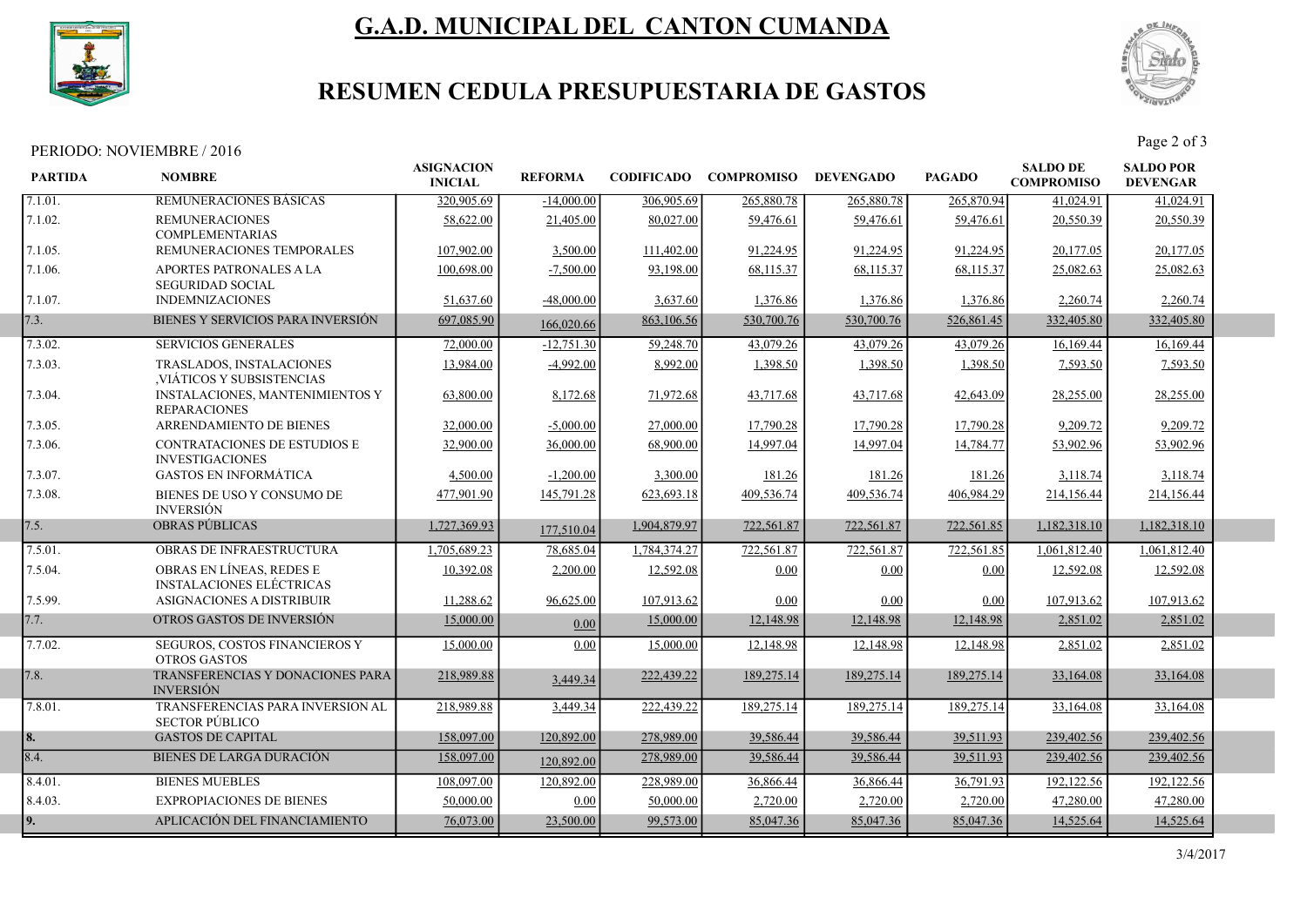

# G.A.D. MUNICIPAL DEL CANTON CUMANDA



## RESUMEN CEDULA PRESUPUESTARIA DE GASTOS

# PERIODO: NOVIEMBRE / 2016<br>Page 2 of 3

| <b>PARTIDA</b> | <b>NOMBRE</b>                                                 | <b>ASIGNACION</b><br><b>INICIAL</b> | <b>REFORMA</b> |              | <b>CODIFICADO COMPROMISO</b> | <b>DEVENGADO</b> | <b>PAGADO</b> | <b>SALDO DE</b><br><b>COMPROMISO</b> | <b>SALDO POR</b><br><b>DEVENGAR</b> |  |
|----------------|---------------------------------------------------------------|-------------------------------------|----------------|--------------|------------------------------|------------------|---------------|--------------------------------------|-------------------------------------|--|
| 7.1.01.        | REMUNERACIONES BASICAS                                        | 320,905.69                          | $-14,000.00$   | 306,905.69   | 265,880.78                   | 265,880.78       | 265,870.94    | 41,024.91                            | 41,024.91                           |  |
| 7.1.02.        | <b>REMUNERACIONES</b><br><b>COMPLEMENTARIAS</b>               | 58,622.00                           | 21,405.00      | 80,027.00    | 59,476.61                    | 59,476.61        | 59,476.61     | 20,550.39                            | 20,550.39                           |  |
| 7.1.05.        | REMUNERACIONES TEMPORALES                                     | 107,902.00                          | 3,500.00       | 111,402.00   | 91,224.95                    | 91,224.95        | 91,224.95     | 20,177.05                            | 20,177.05                           |  |
| 7.1.06.        | APORTES PATRONALES A LA<br><b>SEGURIDAD SOCIAL</b>            | 100,698.00                          | $-7,500.00$    | 93,198.00    | 68,115.37                    | 68,115.37        | 68,115.37     | 25,082.63                            | 25,082.63                           |  |
| 7.1.07.        | <b>INDEMNIZACIONES</b>                                        | 51,637.60                           | $-48,000.00$   | 3,637.60     | 1,376.86                     | 1,376.86         | 1,376.86      | 2,260.74                             | 2,260.74                            |  |
| 7.3.           | BIENES Y SERVICIOS PARA INVERSIÓN                             | 697,085.90                          | 166,020.66     | 863,106.56   | 530,700.76                   | 530,700.76       | 526,861.45    | 332,405.80                           | 332,405.80                          |  |
| 7.3.02.        | <b>SERVICIOS GENERALES</b>                                    | 72,000.00                           | $-12,751.30$   | 59,248.70    | 43,079.26                    | 43,079.26        | 43,079.26     | 16,169.44                            | 16,169.44                           |  |
| 7.3.03.        | TRASLADOS, INSTALACIONES<br>VIÁTICOS Y SUBSISTENCIAS          | 13,984.00                           | $-4,992.00$    | 8,992.00     | 1,398.50                     | 1,398.50         | 1,398.50      | 7,593.50                             | 7,593.50                            |  |
| 7.3.04.        | <b>INSTALACIONES, MANTENIMIENTOS Y</b><br><b>REPARACIONES</b> | 63,800.00                           | 8,172.68       | 71,972.68    | 43,717.68                    | 43,717.68        | 42,643.09     | 28,255.00                            | 28,255.00                           |  |
| 7.3.05.        | ARRENDAMIENTO DE BIENES                                       | 32,000.00                           | $-5,000.00$    | 27,000.00    | 17,790.28                    | 17,790.28        | 17,790.28     | 9,209.72                             | 9,209.72                            |  |
| 7.3.06.        | <b>CONTRATACIONES DE ESTUDIOS E</b><br><b>INVESTIGACIONES</b> | 32,900.00                           | 36,000.00      | 68,900.00    | 14,997.04                    | 14,997.04        | 14,784.77     | 53,902.96                            | 53,902.96                           |  |
| 7.3.07.        | <b>GASTOS EN INFORMÁTICA</b>                                  | 4,500.00                            | $-1,200.00$    | 3,300.00     | 181.26                       | 181.26           | 181.26        | 3,118.74                             | 3,118.74                            |  |
| 7.3.08.        | BIENES DE USO Y CONSUMO DE<br><b>INVERSIÓN</b>                | 477,901.90                          | 145,791.28     | 623,693.18   | 409,536.74                   | 409,536.74       | 406,984.29    | 214,156.44                           | 214,156.44                          |  |
| 7.5.           | OBRAS PÚBLICAS                                                | 1,727,369.93                        | 177,510.04     | 1,904,879.97 | 722,561.87                   | 722,561.87       | 722,561.85    | 1,182,318.10                         | 1,182,318.10                        |  |
| 7.5.01.        | OBRAS DE INFRAESTRUCTURA                                      | 1,705,689.23                        | 78,685.04      | 1,784,374.27 | 722,561.87                   | 722,561.87       | 722,561.85    | 1,061,812.40                         | 1,061,812.40                        |  |
| 7.5.04.        | OBRAS EN LÍNEAS, REDES E<br><b>INSTALACIONES ELÉCTRICAS</b>   | 10.392.08                           | 2,200.00       | 12,592.08    | 0.00                         | 0.00             | 0.00          | 12,592.08                            | 12,592.08                           |  |
| 7.5.99.        | ASIGNACIONES A DISTRIBUIR                                     | 11,288.62                           | 96,625.00      | 107,913.62   | 0.00                         | 0.00             | 0.00          | 107,913.62                           | 107,913.62                          |  |
| 7.7.           | OTROS GASTOS DE INVERSIÓN                                     | 15,000.00                           | 0.00           | 15,000.00    | 12,148.98                    | 12,148.98        | 12,148.98     | 2,851.02                             | 2,851.02                            |  |
| 7.7.02.        | SEGUROS, COSTOS FINANCIEROS Y<br><b>OTROS GASTOS</b>          | 15,000.00                           | 0.00           | 15,000.00    | 12,148.98                    | 12,148.98        | 12,148.98     | 2,851.02                             | 2,851.02                            |  |
| 7.8.           | TRANSFERENCIAS Y DONACIONES PARA<br><b>INVERSIÓN</b>          | 218,989.88                          | 3,449.34       | 222,439.22   | 189,275.14                   | 189,275.14       | 189,275.14    | 33,164.08                            | 33,164.08                           |  |
| 7.8.01.        | TRANSFERENCIAS PARA INVERSION AL<br><b>SECTOR PÚBLICO</b>     | 218,989.88                          | 3,449.34       | 222,439.22   | 189,275.14                   | 189,275.14       | 189,275.14    | 33,164.08                            | 33,164.08                           |  |
| 8.             | <b>GASTOS DE CAPITAL</b>                                      | 158,097.00                          | 120,892.00     | 278,989.00   | 39,586.44                    | 39,586.44        | 39,511.93     | 239,402.56                           | 239,402.56                          |  |
| 8.4.           | <b>BIENES DE LARGA DURACIÓN</b>                               | 158,097.00                          | 120,892.00     | 278,989.00   | 39,586.44                    | 39,586.44        | 39,511.93     | 239,402.56                           | 239,402.56                          |  |
| 8.4.01.        | <b>BIENES MUEBLES</b>                                         | 108,097.00                          | 120,892.00     | 228,989.00   | 36,866.44                    | 36,866.44        | 36,791.93     | 192,122.56                           | 192,122.56                          |  |
| 8.4.03.        | <b>EXPROPIACIONES DE BIENES</b>                               | 50,000.00                           | 0.00           | 50,000.00    | 2,720.00                     | 2,720.00         | 2,720.00      | 47,280.00                            | 47,280.00                           |  |
| 9.             | APLICACIÓN DEL FINANCIAMIENTO                                 | 76,073.00                           | 23,500.00      | 99,573.00    | 85,047.36                    | 85,047.36        | 85,047.36     | 14,525.64                            | 14,525.64                           |  |